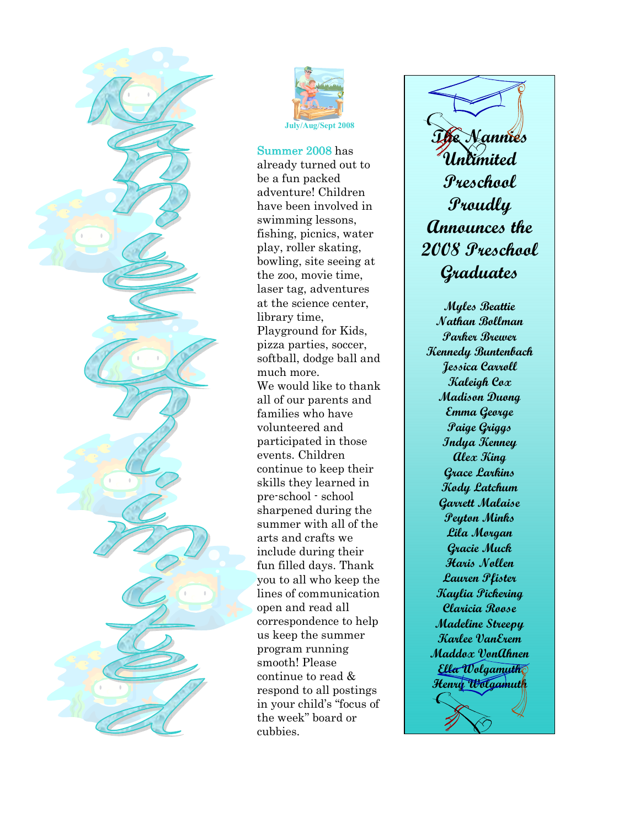



Summer 2008 has already turned out to be a fun packed adventure! Children have been involved in swimming lessons, fishing, picnics, water play, roller skating, bowling, site seeing at the zoo, movie time, laser tag, adventures at the science center, library time, Playground for Kids, pizza parties, soccer, softball, dodge ball and much more. We would like to thank all of our parents and families who have volunteered and participated in those events. Children continue to keep their skills they learned in pre-school - school sharpened during the summer with all of the arts and crafts we include during their fun filled days. Thank you to all who keep the lines of communication open and read all correspondence to help us keep the summer program running smooth! Please continue to read & respond to all postings in your child's "focus of the week" board or cubbies.

The Nannies Unlimited Preschool Proudly Announces the 2008 Preschool Graduates

Myles Beattie Nathan Bollman Parker Brewer Kennedy Buntenbach Jessica Carroll Kaleigh Cox Madison Duong Emma George Paige Griggs Indya Kenney Alex King Grace Larkins Kody Latchum Garrett Malaise Peyton Minks Lila Morgan Gracie Muck Haris Nollen Lauren Pfister Kaylia Pickering Claricia Roose Madeline Streepy Karlee VanErem Maddox VonAhnen Ella Wolgamuth Henry Wolgamuth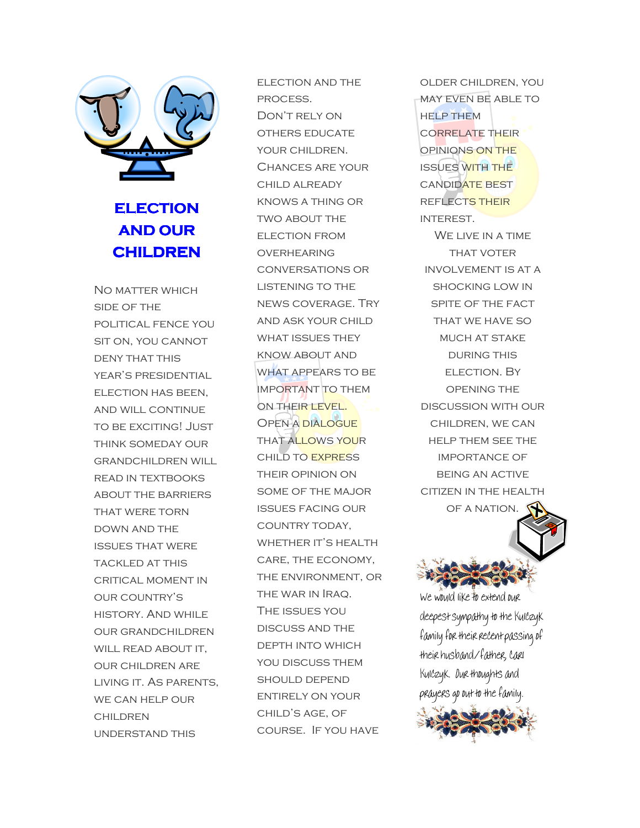

## **ELECTION** AND OUR **CHILDREN**

No matter which side of the political fence you sit on, you cannot DENY THAT THIS year's presidential election has been, and will continue to be exciting! Just think someday our grandchildren will read in textbooks about the barriers that were torn down and the issues that were tackled at this critical moment in our country's history. And while our grandchildren WILL READ ABOUT IT, our children are living it. As parents, we can help our **CHILDREN** understand this

election and the process. Don't rely on others educate your children. Chances are your child already knows a thing or two about the election from **OVERHEARING** conversations or LISTENING TO THE news coverage. Try and ask your child WHAT ISSUES THEY know about and what appears to be important to them ON THEIR LEVEL. Open a dialogue **THAT ALLOWS YOUR** child to express their opinion on some of the major issues facing our country today, WHETHER IT'S HEALTH care, the economy, the environment, or the war in Iraq. The issues you discuss and the depth into which YOU DISCUSS THEM should depend entirely on your child's age, of course. If you have

older children, you may even be able to **HELP THEM** correlate their opinions on the issues with the candidate best reflects their interest.

WE LIVE IN A TIME **THAT VOTER** involvement is at a shocking low in spite of the fact THAT WE HAVE SO MUCH AT STAKE DURING THIS election. By opening the discussion with our children, we can help them see the importance of being an active citizen in the health OF A NATION.



We would like to extend our deepest sympathy to the Kulczyk family for their recent passing of their husband/father, Carl Kulczyk. Our thoughts and prayers go out to the family.

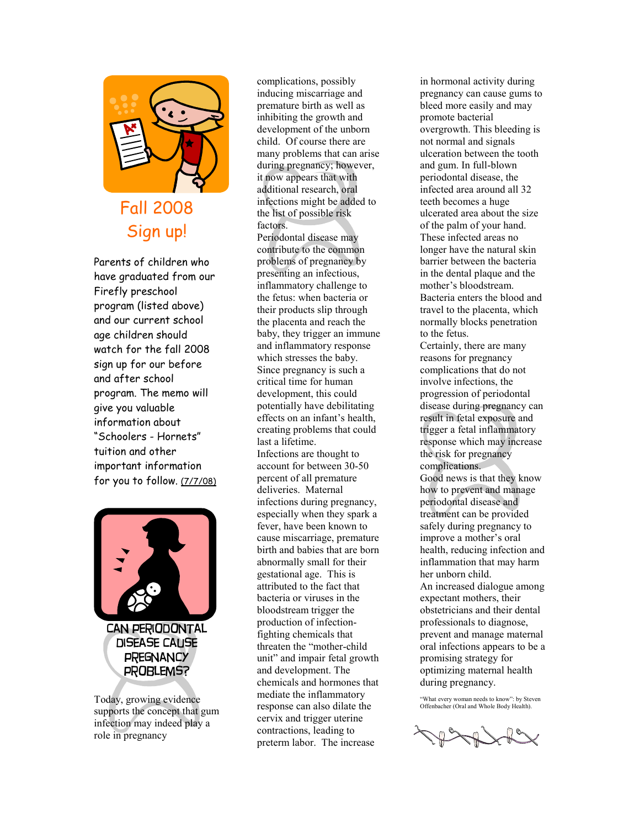

## Fall 2008 Sign up!

Parents of children who have graduated from our Firefly preschool program (listed above) and our current school age children should watch for the fall 2008 sign up for our before and after school program. The memo will give you valuable information about "Schoolers - Hornets" tuition and other important information for you to follow. (7/7/08)



Today, growing evidence supports the concept that gum infection may indeed play a role in pregnancy

complications, possibly inducing miscarriage and premature birth as well as inhibiting the growth and development of the unborn child. Of course there are many problems that can arise during pregnancy; however, it now appears that with additional research, oral infections might be added to the list of possible risk factors. Periodontal disease may contribute to the common problems of pregnancy by presenting an infectious, inflammatory challenge to the fetus: when bacteria or their products slip through the placenta and reach the baby, they trigger an immune and inflammatory response which stresses the baby. Since pregnancy is such a critical time for human development, this could potentially have debilitating effects on an infant's health, creating problems that could last a lifetime. Infections are thought to account for between 30-50 percent of all premature deliveries. Maternal infections during pregnancy, especially when they spark a fever, have been known to cause miscarriage, premature birth and babies that are born abnormally small for their gestational age. This is attributed to the fact that bacteria or viruses in the bloodstream trigger the production of infectionfighting chemicals that threaten the "mother-child unit" and impair fetal growth and development. The chemicals and hormones that mediate the inflammatory response can also dilate the cervix and trigger uterine contractions, leading to preterm labor. The increase

in hormonal activity during pregnancy can cause gums to bleed more easily and may promote bacterial overgrowth. This bleeding is not normal and signals ulceration between the tooth and gum. In full-blown periodontal disease, the infected area around all 32 teeth becomes a huge ulcerated area about the size of the palm of your hand. These infected areas no longer have the natural skin barrier between the bacteria in the dental plaque and the mother's bloodstream. Bacteria enters the blood and travel to the placenta, which normally blocks penetration to the fetus. Certainly, there are many reasons for pregnancy complications that do not involve infections, the progression of periodontal disease during pregnancy can result in fetal exposure and trigger a fetal inflammatory response which may increase the risk for pregnancy complications. Good news is that they know how to prevent and manage periodontal disease and treatment can be provided safely during pregnancy to improve a mother's oral health, reducing infection and inflammation that may harm her unborn child. An increased dialogue among expectant mothers, their obstetricians and their dental professionals to diagnose, prevent and manage maternal oral infections appears to be a promising strategy for optimizing maternal health during pregnancy.

"What every woman needs to know": by Steven Offenbacher (Oral and Whole Body Health).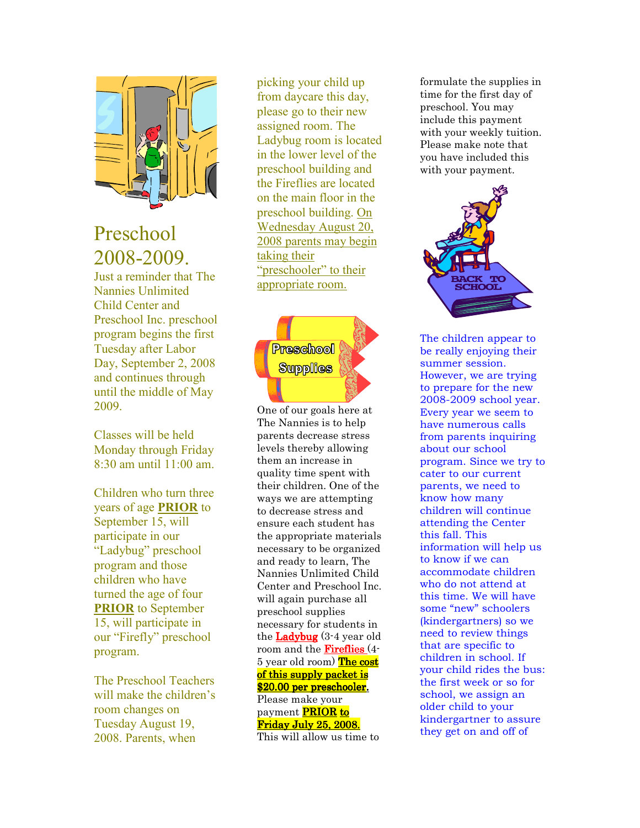

## Preschool 2008-2009.

Just a reminder that The Nannies Unlimited Child Center and Preschool Inc. preschool program begins the first Tuesday after Labor Day, September 2, 2008 and continues through until the middle of May 2009.

Classes will be held Monday through Friday  $8:30$  am until  $11:00$  am

Children who turn three years of age PRIOR to September 15, will participate in our "Ladybug" preschool program and those children who have turned the age of four PRIOR to September 15, will participate in our "Firefly" preschool program.

The Preschool Teachers will make the children's room changes on Tuesday August 19, 2008. Parents, when

picking your child up from daycare this day, please go to their new assigned room. The Ladybug room is located in the lower level of the preschool building and the Fireflies are located on the main floor in the preschool building. On Wednesday August 20, 2008 parents may begin taking their "preschooler" to their appropriate room.



One of our goals here at The Nannies is to help parents decrease stress levels thereby allowing them an increase in quality time spent with their children. One of the ways we are attempting to decrease stress and ensure each student has the appropriate materials necessary to be organized and ready to learn, The Nannies Unlimited Child Center and Preschool Inc. will again purchase all preschool supplies necessary for students in the **Ladybug**  $(3-4 \text{ year old})$ room and the **Fireflies**  $(4-$ 5 year old room) The cost of this supply packet is \$20.00 per preschooler. Please make your payment PRIOR to Friday July 25, 2008.

This will allow us time to

formulate the supplies in time for the first day of preschool. You may include this payment with your weekly tuition. Please make note that you have included this with your payment.



The children appear to be really enjoying their summer session. However, we are trying to prepare for the new 2008-2009 school year. Every year we seem to have numerous calls from parents inquiring about our school program. Since we try to cater to our current parents, we need to know how many children will continue attending the Center this fall. This information will help us to know if we can accommodate children who do not attend at this time. We will have some "new" schoolers (kindergartners) so we need to review things that are specific to children in school. If your child rides the bus: the first week or so for school, we assign an older child to your kindergartner to assure they get on and off of